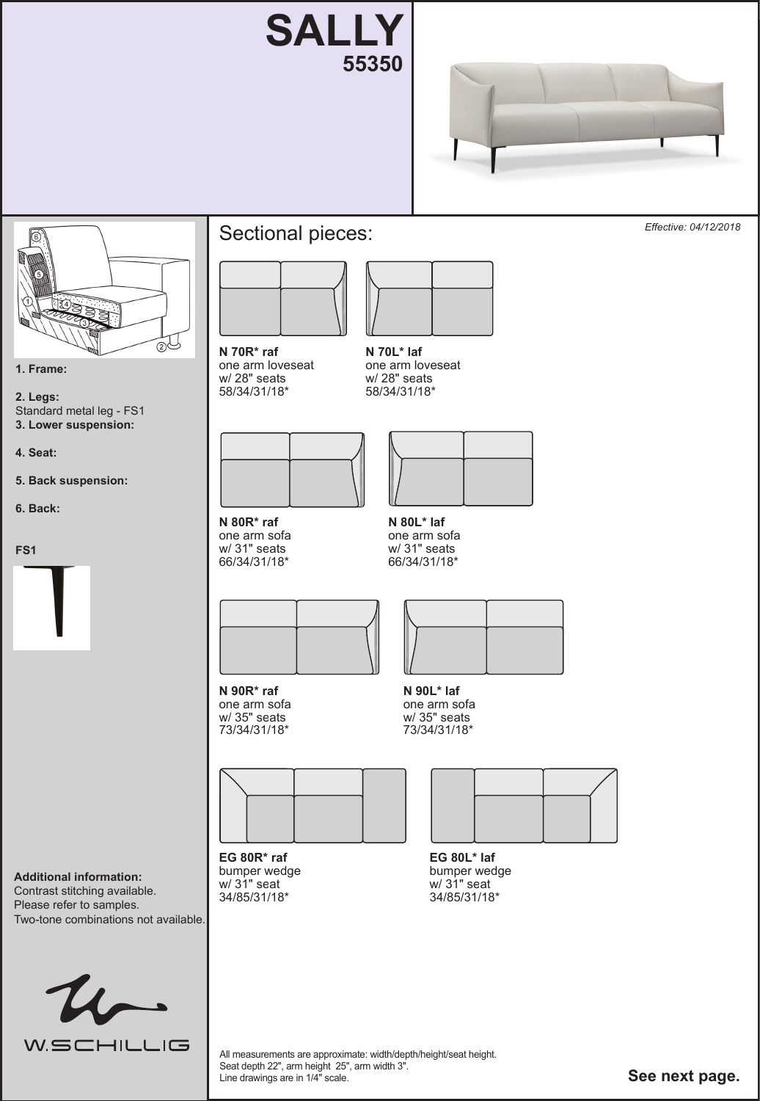





**1. Frame:**

**2. Legs:**  Standard metal leg - FS1 **3. Lower suspension:** 

**4. Seat:** 

**5. Back suspension:** 

**6. Back:** 

**FS1** 



## Sectional pieces:



**N 70R\* raf**  one arm loveseat w/ 28" seats 58/34/31/18\*



**N 80R\* raf**  one arm sofa w/ 31" seats 66/34/31/18\*



**N 90R\* raf**  one arm sofa w/ 35" seats 73/34/31/18\*



**EG 80R\* raf**  bumper wedge w/ 31" seat 34/85/31/18\*



58/34/31/18\*



**N 80L\* laf**  one arm sofa w/ 31" seats 66/34/31/18\*



**N 90L\* laf**  one arm sofa w/ 35" seats 73/34/31/18\*



**EG 80L\* laf**  bumper wedge w/ 31" seat 34/85/31/18\*

**Additional information:**  Contrast stitching available. Please refer to samples. Two-tone combinations not available.

 $u_{\Gamma}$ **W.SCHILLIG** 

All measurements are approximate: width/depth/height/seat height. Seat depth 22", arm height 25", arm width 3". Line drawings are in 1/4" scale.

**See next page.**

*Effective: 04/12/2018*